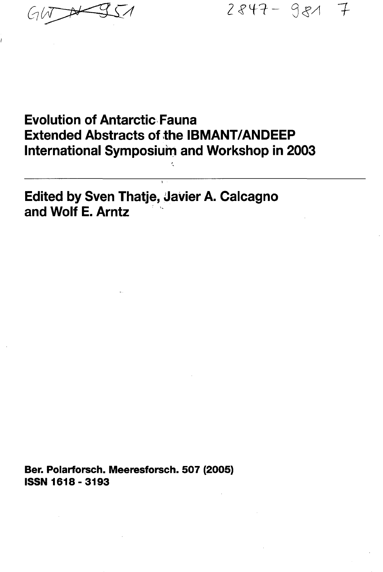2847-981 7

## **Evolution of Antarctic Fauna Extended Abstracts of the IBMANT/ANDEEP International Symposium and Workshop in 2003**

**Edited by Sven Thatje, Javier A. Calcagno and Wolf E. Arntz**

**Ber. Polarforsch. Meeresforsch. 507 (2005) ISSN 1618-3193**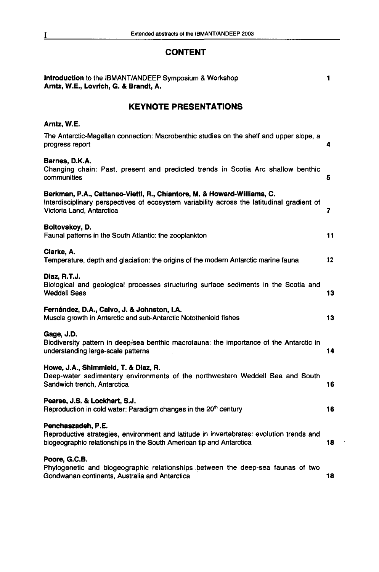## **CONTENT**

| Introduction to the IBMANT/ANDEEP Symposium & Workshop<br>Arntz, W.E., Lovrich, G. & Brandt, A.                                                                                                    | 1  |
|----------------------------------------------------------------------------------------------------------------------------------------------------------------------------------------------------|----|
| <b>KEYNOTE PRESENTATIONS</b>                                                                                                                                                                       |    |
| Arntz, W.E.                                                                                                                                                                                        |    |
| The Antarctic-Magellan connection: Macrobenthic studies on the shelf and upper slope, a<br>progress report                                                                                         | 4  |
| Barnes, D.K.A.<br>Changing chain: Past, present and predicted trends in Scotia Arc shallow benthic<br>communities                                                                                  | 5  |
| Berkman, P.A., Cattaneo-Vietti, R., Chiantore, M. & Howard-Williams, C.<br>Interdisciplinary perspectives of ecosystem variability across the latitudinal gradient of<br>Victoria Land, Antarctica | 7  |
| Boltovskov, D.<br>Faunal patterns in the South Atlantic: the zooplankton                                                                                                                           | 11 |
| Clarke, A.<br>Temperature, depth and glaciation: the origins of the modern Antarctic marine fauna                                                                                                  | 12 |
| Diaz, R.T.J.<br>Biological and geological processes structuring surface sediments in the Scotia and<br><b>Weddell Seas</b>                                                                         | 13 |
| Fernández, D.A., Calvo, J. & Johnston, I.A.<br>Muscle growth in Antarctic and sub-Antarctic Notothenioid fishes                                                                                    | 13 |
| Gage, J.D.<br>Biodiversity pattern in deep-sea benthic macrofauna: the importance of the Antarctic in<br>understanding large-scale patterns                                                        | 14 |
| Howe, J.A., Shimmield, T. & Diaz, R.<br>Deep-water sedimentary environments of the northwestern Weddell Sea and South<br>Sandwich trench, Antarctica                                               | 16 |
| Pearse, J.S. & Lockhart, S.J.<br>Reproduction in cold water: Paradigm changes in the 20 <sup>th</sup> century                                                                                      | 16 |
| Penchaszadeh, P.E.<br>Reproductive strategies, environment and latitude in invertebrates: evolution trends and<br>biogeographic relationships in the South American tip and Antarctica             | 18 |
| Poore, G.C.B.<br>Phylogenetic and biogeographic relationships between the deep-sea faunas of two<br>Gondwanan continents, Australia and Antarctica                                                 | 18 |

 $\ddot{\phantom{a}}$ 

 $\overline{1}$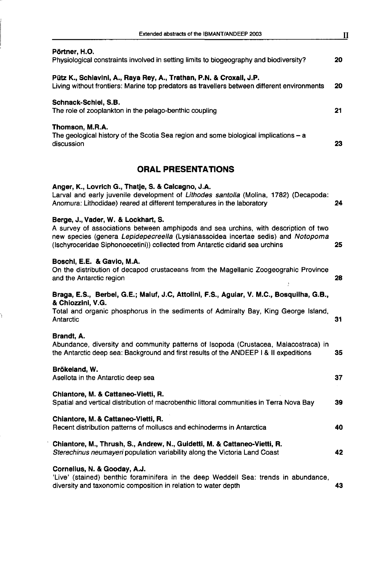| Pörtner, H.O.<br>Physiological constraints involved in setting limits to biogeography and biodiversity?                                                                                                                                                                                         | 20 |
|-------------------------------------------------------------------------------------------------------------------------------------------------------------------------------------------------------------------------------------------------------------------------------------------------|----|
| Pütz K., Schiavini, A., Raya Rey, A., Trathan, P.N. & Croxall, J.P.<br>Living without frontiers: Marine top predators as travellers between different environments                                                                                                                              | 20 |
| Schnack-Schiel, S.B.<br>The role of zooplankton in the pelago-benthic coupling                                                                                                                                                                                                                  | 21 |
| Thomson, M.R.A.<br>The geological history of the Scotia Sea region and some biological implications - a<br>discussion                                                                                                                                                                           | 23 |
| ORAL PRESENTATIONS                                                                                                                                                                                                                                                                              |    |
| Anger, K., Lovrich G., Thatje, S. & Calcagno, J.A.<br>Larval and early juvenile development of Lithodes santolla (Molina, 1782) (Decapoda:<br>Anomura: Lithodidae) reared at different temperatures in the laboratory                                                                           | 24 |
| Berge, J., Vader, W. & Lockhart, S.<br>A survey of associations between amphipods and sea urchins, with description of two<br>new species (genera Lepidepecreella (Lysianassoidea incertae sedis) and Notopoma<br>(Ischyroceridae Siphonoecetini)) collected from Antarctic cidarid sea urchins | 25 |
| Boschi, E.E. & Gavio, M.A.<br>On the distribution of decapod crustaceans from the Magellanic Zoogeograhic Province<br>and the Antarctic region                                                                                                                                                  | 28 |
| Braga, E.S., Berbel, G.E.; Maluf, J.C, Attolini, F.S., Aguiar, V. M.C., Bosquilha, G.B.,                                                                                                                                                                                                        |    |
| & Chiozzini, V.G.<br>Total and organic phosphorus in the sediments of Admiralty Bay, King George Island,<br>Antarctic                                                                                                                                                                           | 31 |
| Brandt, A.<br>Abundance, diversity and community patterns of Isopoda (Crustacea, Malacostraca) in<br>the Antarctic deep sea: Background and first results of the ANDEEP I & II expeditions                                                                                                      | 35 |
| Brökeland, W.<br>Asellota in the Antarctic deep sea                                                                                                                                                                                                                                             | 37 |
| Chiantore, M. & Cattaneo-Vietti, R.<br>Spatial and vertical distribution of macrobenthic littoral communities in Terra Nova Bay                                                                                                                                                                 | 39 |
| Chiantore, M. & Cattaneo-Vietti, R.<br>Recent distribution patterns of molluscs and echinoderms in Antarctica                                                                                                                                                                                   | 40 |
| Chiantore, M., Thrush, S., Andrew, N., Guidetti, M. & Cattaneo-Vietti, R.<br>Sterechinus neumayeri population variability along the Victoria Land Coast                                                                                                                                         | 42 |
| Cornelius, N. & Gooday, A.J.<br>'Live' (stained) benthic foraminifera in the deep Weddell Sea: trends in abundance,<br>diversity and taxonomic composition in relation to water depth                                                                                                           | 43 |

f,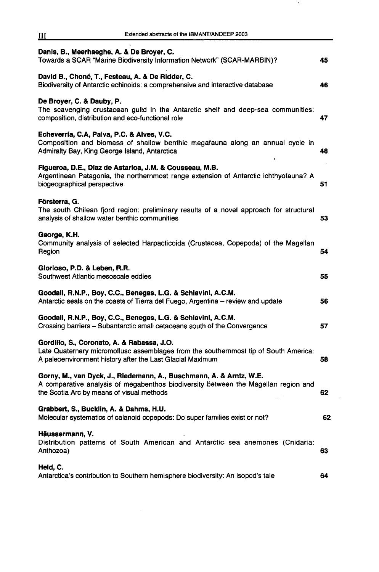| Extended abstracts of the IBMANT/ANDEEP 2003<br>Ш                                                                                                                                                      |    |
|--------------------------------------------------------------------------------------------------------------------------------------------------------------------------------------------------------|----|
| Danis, B., Meerhaeghe, A. & De Broyer, C.<br>Towards a SCAR "Marine Biodiversity Information Network" (SCAR-MARBIN)?                                                                                   | 45 |
| David B., Choné, T., Festeau, A. & De Ridder, C.<br>Biodiversity of Antarctic echinoids: a comprehensive and interactive database                                                                      | 46 |
| De Broyer, C. & Dauby, P.<br>The scavenging crustacean guild in the Antarctic shelf and deep-sea communities:<br>composition, distribution and eco-functional role                                     | 47 |
| Echeverría, C.A, Paiva, P.C. & Alves, V.C.<br>Composition and biomass of shallow benthic megafauna along an annual cycle in<br>Admiralty Bay, King George Island, Antarctica                           | 48 |
| Figueroa, D.E., Díaz de Astarioa, J.M. & Cousseau, M.B.<br>Argentinean Patagonia, the northernmost range extension of Antarctic ichthyofauna? A<br>biogeographical perspective                         | 51 |
| Försterra, G.<br>The south Chilean fjord region: preliminary results of a novel approach for structural<br>analysis of shallow water benthic communities                                               | 53 |
| George, K.H.<br>Community analysis of selected Harpacticoida (Crustacea, Copepoda) of the Magellan<br>Region                                                                                           | 54 |
| Glorioso, P.D. & Leben, R.R.<br>Southwest Atlantic mesoscale eddies                                                                                                                                    | 55 |
| Goodall, R.N.P., Boy, C.C., Benegas, L.G. & Schiavini, A.C.M.<br>Antarctic seals on the coasts of Tierra del Fuego, Argentina – review and update                                                      | 56 |
| Goodall, R.N.P., Boy, C.C., Benegas, L.G. & Schiavini, A.C.M.<br>Crossing barriers - Subantarctic small cetaceans south of the Convergence                                                             | 57 |
| Gordillo, S., Coronato, A. & Rabassa, J.O.<br>Late Quaternary micromollusc assemblages from the southernmost tip of South America:<br>A paleoenvironment history after the Last Glacial Maximum        | 58 |
| Gorny, M., van Dyck, J., Riedemann, A., Buschmann, A. & Arntz, W.E.<br>A comparative analysis of megabenthos biodiversity between the Magellan region and<br>the Scotia Arc by means of visual methods | 62 |
| Grabbert, S., Bucklin, A. & Dahms, H.U.<br>Molecular systematics of calanoid copepods: Do super families exist or not?                                                                                 | 62 |
| Häussermann, V.<br>Distribution patterns of South American and Antarctic sea anemones (Cnidaria:<br>Anthozoa)                                                                                          | 63 |
| Held, C.<br>Antarctica's contribution to Southern hemisphere biodiversity: An isopod's tale                                                                                                            | 64 |

 $\sim$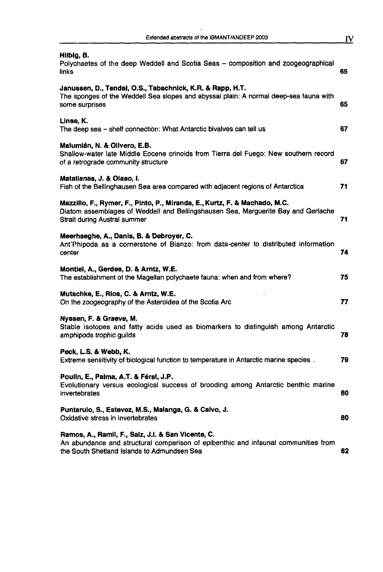| Extended abstracts of the IBMANT/ANDEEP 2003 |  |
|----------------------------------------------|--|

| Hilbig, B.<br>Polychaetes of the deep Weddell and Scotia Seas - composition and zoogeographical<br>links                                                                                        | 65 |
|-------------------------------------------------------------------------------------------------------------------------------------------------------------------------------------------------|----|
| Janussen, D., Tendal, O.S., Tabachnick, K.R. & Rapp, H.T.<br>The sponges of the Weddell Sea slopes and abyssal plain: A normal deep-sea fauna with<br>some surprises                            | 65 |
| Linse, K.<br>The deep sea - shelf connection: What Antarctic bivalves can tell us                                                                                                               | 67 |
| Malumián, N. & Olivero, E.B.<br>Shallow-water late Middle Eocene crinoids from Tierra del Fuego: New southern record<br>of a retrograde community structure                                     | 67 |
| Matallanas, J. & Olaso, I.<br>Fish of the Bellinghausen Sea area compared with adjacent regions of Antarctica                                                                                   | 71 |
| Mazzillo, F., Rymer, F., Pinto, P., Miranda, E., Kurtz, F. & Machado, M.C.<br>Diatom assemblages of Weddell and Bellingshausen Sea, Marguerite Bay and Gerlache<br>Strait during Austral summer | 71 |
| Meerhaeghe, A., Danis, B. & Debroyer, C.<br>Ant'Phipoda as a cornerstone of Bianzo: from data-center to distributed information<br>center                                                       | 74 |
| Montiel, A., Gerdes, D. & Arntz, W.E.<br>The establishment of the Magellan polychaete fauna: when and from where?                                                                               | 75 |
| Mutschke, E., Rios, C. & Arntz, W.E.<br>On the zoogeography of the Asteroidea of the Scotia Arc                                                                                                 | 77 |
| Nyssen, F. & Graeve, M.<br>Stable isotopes and fatty acids used as biomarkers to distinguish among Antarctic<br>amphipods trophic guilds                                                        | 78 |
| Peck, L.S. & Webb, K.<br>Extreme sensitivity of biological function to temperature in Antarctic marine species.                                                                                 | 79 |
| Poulin, E., Palma, A.T. & Féral, J.P.<br>Evolutionary versus ecological success of brooding among Antarctic benthic marine<br>invertebrates                                                     | 80 |
| Puntarulo, S., Estevez, M.S., Malanga, G. & Calvo, J.<br>Oxidative stress in invertebrates                                                                                                      | 80 |
| Ramos, A., Ramil, F., Saiz, J.I. & San Vicente, C.<br>An abundance and structural comparison of epibenthic and infaunal communities from<br>the South Shetland Islands to Admundsen Sea         | 82 |